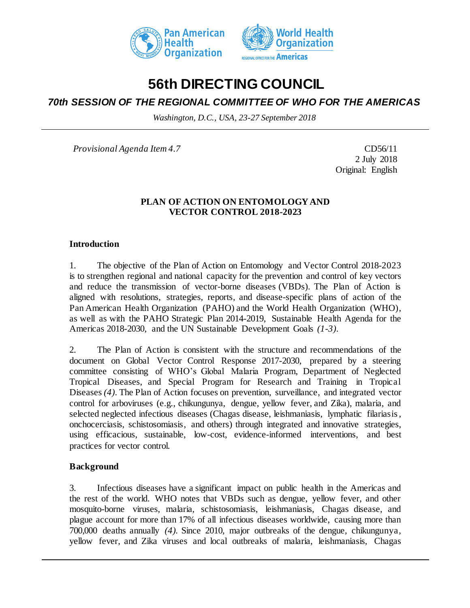



# **56th DIRECTING COUNCIL**

# *70th SESSION OF THE REGIONAL COMMITTEE OF WHO FOR THE AMERICAS*

*Washington, D.C., USA, 23-27 September 2018*

*Provisional Agenda Item 4.7* CD56/11

2 July 2018 Original: English

### **PLAN OF ACTION ON ENTOMOLOGY AND VECTOR CONTROL 2018-2023**

### **Introduction**

1. The objective of the Plan of Action on Entomology and Vector Control 2018-2023 is to strengthen regional and national capacity for the prevention and control of key vectors and reduce the transmission of vector-borne diseases (VBDs). The Plan of Action is aligned with resolutions, strategies, reports, and disease-specific plans of action of the Pan American Health Organization (PAHO) and the World Health Organization (WHO), as well as with the PAHO Strategic Plan 2014-2019, Sustainable Health Agenda for the Americas 2018-2030, and the UN Sustainable Development Goals *(1-3)*.

2. The Plan of Action is consistent with the structure and recommendations of the document on Global Vector Control Response 2017-2030, prepared by a steering committee consisting of WHO's Global Malaria Program, Department of Neglected Tropical Diseases, and Special Program for Research and Training in Tropical Diseases *(4)*. The Plan of Action focuses on prevention, surveillance, and integrated vector control for arboviruses (e.g., chikungunya, dengue, yellow fever, and Zika), malaria, and selected neglected infectious diseases (Chagas disease, leishmaniasis, lymphatic filariasis, onchocerciasis, schistosomiasis, and others) through integrated and innovative strategies, using efficacious, sustainable, low-cost, evidence-informed interventions, and best practices for vector control.

### **Background**

3. Infectious diseases have a significant impact on public health in the Americas and the rest of the world. WHO notes that VBDs such as dengue, yellow fever, and other mosquito-borne viruses, malaria, schistosomiasis, leishmaniasis, Chagas disease, and plague account for more than 17% of all infectious diseases worldwide, causing more than 700,000 deaths annually *(4).* Since 2010, major outbreaks of the dengue, chikungunya, yellow fever, and Zika viruses and local outbreaks of malaria, leishmaniasis, Chagas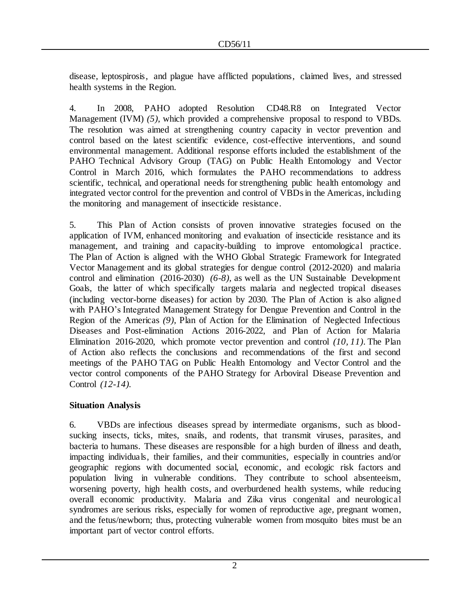disease, leptospirosis, and plague have afflicted populations, claimed lives, and stressed health systems in the Region.

4. In 2008, PAHO adopted Resolution CD48.R8 on Integrated Vector Management (IVM) *(5)*, which provided a comprehensive proposal to respond to VBDs. The resolution was aimed at strengthening country capacity in vector prevention and control based on the latest scientific evidence, cost-effective interventions, and sound environmental management. Additional response efforts included the establishment of the PAHO Technical Advisory Group (TAG) on Public Health Entomology and Vector Control in March 2016, which formulates the PAHO recommendations to address scientific, technical, and operational needs for strengthening public health entomology and integrated vector control for the prevention and control of VBDs in the Americas, including the monitoring and management of insecticide resistance.

5. This Plan of Action consists of proven innovative strategies focused on the application of IVM, enhanced monitoring and evaluation of insecticide resistance and its management, and training and capacity-building to improve entomological practice. The Plan of Action is aligned with the WHO Global Strategic Framework for Integrated Vector Management and its global strategies for dengue control (2012-2020) and malaria control and elimination (2016-2030) *(6-8),* as well as the UN Sustainable Development Goals, the latter of which specifically targets malaria and neglected tropical diseases (including vector-borne diseases) for action by 2030. The Plan of Action is also aligned with PAHO's Integrated Management Strategy for Dengue Prevention and Control in the Region of the Americas *(9),* Plan of Action for the Elimination of Neglected Infectious Diseases and Post-elimination Actions 2016-2022, and Plan of Action for Malaria Elimination 2016-2020, which promote vector prevention and control *(10, 11)*. The Plan of Action also reflects the conclusions and recommendations of the first and second meetings of the PAHO TAG on Public Health Entomology and Vector Control and the vector control components of the PAHO Strategy for Arboviral Disease Prevention and Control *(12-14).*

# **Situation Analysis**

6. VBDs are infectious diseases spread by intermediate organisms, such as bloodsucking insects, ticks, mites, snails, and rodents, that transmit viruses, parasites, and bacteria to humans. These diseases are responsible for a high burden of illness and death, impacting individuals, their families, and their communities, especially in countries and/or geographic regions with documented social, economic, and ecologic risk factors and population living in vulnerable conditions. They contribute to school absenteeism, worsening poverty, high health costs, and overburdened health systems, while reducing overall economic productivity. Malaria and Zika virus congenital and neurological syndromes are serious risks, especially for women of reproductive age, pregnant women, and the fetus/newborn; thus, protecting vulnerable women from mosquito bites must be an important part of vector control efforts.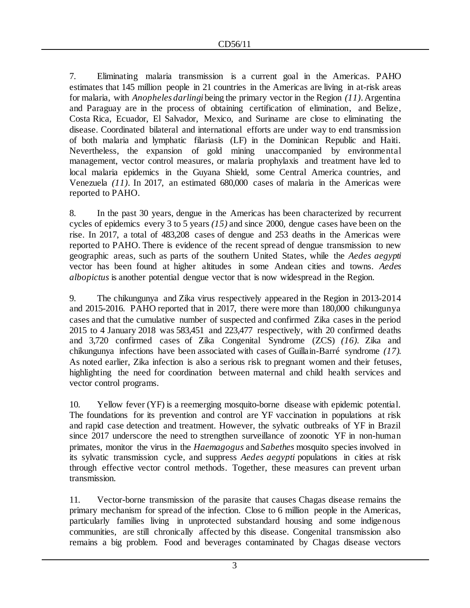7. Eliminating malaria transmission is a current goal in the Americas. PAHO estimates that 145 million people in 21 countries in the Americas are living in at-risk areas for malaria, with *Anopheles darlingi* being the primary vector in the Region *(11)*. Argentina and Paraguay are in the process of obtaining certification of elimination, and Belize, Costa Rica, Ecuador, El Salvador, Mexico, and Suriname are close to eliminating the disease. Coordinated bilateral and international efforts are under way to end transmission of both malaria and lymphatic filariasis (LF) in the Dominican Republic and Haiti. Nevertheless, the expansion of gold mining unaccompanied by environmental management, vector control measures, or malaria prophylaxis and treatment have led to local malaria epidemics in the Guyana Shield, some Central America countries, and Venezuela *(11)*. In 2017, an estimated 680,000 cases of malaria in the Americas were reported to PAHO.

8. In the past 30 years, dengue in the Americas has been characterized by recurrent cycles of epidemics every 3 to 5 years *(15)* and since 2000, dengue cases have been on the rise. In 2017, a total of 483,208 cases of dengue and 253 deaths in the Americas were reported to PAHO. There is evidence of the recent spread of dengue transmission to new geographic areas, such as parts of the southern United States, while the *Aedes aegypti* vector has been found at higher altitudes in some Andean cities and towns. *Aedes albopictus* is another potential dengue vector that is now widespread in the Region.

9. The chikungunya and Zika virus respectively appeared in the Region in 2013-2014 and 2015-2016. PAHO reported that in 2017, there were more than 180,000 chikungunya cases and that the cumulative number of suspected and confirmed Zika cases in the period 2015 to 4 January 2018 was 583,451 and 223,477 respectively, with 20 confirmed deaths and 3,720 confirmed cases of Zika Congenital Syndrome (ZCS) *(16).* Zika and chikungunya infections have been associated with cases of Guillain-Barré syndrome *(17)*. As noted earlier, Zika infection is also a serious risk to pregnant women and their fetuses, highlighting the need for coordination between maternal and child health services and vector control programs.

10. Yellow fever (YF) is a reemerging mosquito-borne disease with epidemic potential. The foundations for its prevention and control are YF vaccination in populations at risk and rapid case detection and treatment. However, the sylvatic outbreaks of YF in Brazil since 2017 underscore the need to strengthen surveillance of zoonotic YF in non-human primates, monitor the virus in the *Haemagogus* and *Sabethes* mosquito species involved in its sylvatic transmission cycle, and suppress *Aedes aegypti* populations in cities at risk through effective vector control methods. Together, these measures can prevent urban transmission.

11. Vector-borne transmission of the parasite that causes Chagas disease remains the primary mechanism for spread of the infection. Close to 6 million people in the Americas, particularly families living in unprotected substandard housing and some indigenous communities, are still chronically affected by this disease. Congenital transmission also remains a big problem. Food and beverages contaminated by Chagas disease vectors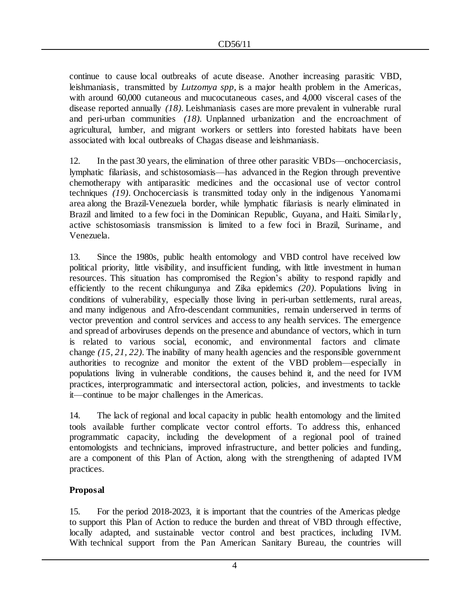continue to cause local outbreaks of acute disease. Another increasing parasitic VBD, leishmaniasis, transmitted by *Lutzomya spp,* is a major health problem in the Americas, with around 60,000 cutaneous and mucocutaneous cases, and 4,000 visceral cases of the disease reported annually *(18).* Leishmaniasis cases are more prevalent in vulnerable rural and peri-urban communities *(18).* Unplanned urbanization and the encroachment of agricultural, lumber, and migrant workers or settlers into forested habitats have been associated with local outbreaks of Chagas disease and leishmaniasis.

12. In the past 30 years, the elimination of three other parasitic VBDs—onchocerciasis, lymphatic filariasis, and schistosomiasis—has advanced in the Region through preventive chemotherapy with antiparasitic medicines and the occasional use of vector control techniques *(19)*. Onchocerciasis is transmitted today only in the indigenous Yanomami area along the Brazil-Venezuela border, while lymphatic filariasis is nearly eliminated in Brazil and limited to a few foci in the Dominican Republic, Guyana, and Haiti. Similar ly, active schistosomiasis transmission is limited to a few foci in Brazil, Suriname, and Venezuela.

13. Since the 1980s, public health entomology and VBD control have received low political priority, little visibility, and insufficient funding, with little investment in human resources. This situation has compromised the Region's ability to respond rapidly and efficiently to the recent chikungunya and Zika epidemics *(20)*. Populations living in conditions of vulnerability, especially those living in peri-urban settlements, rural areas, and many indigenous and Afro-descendant communities, remain underserved in terms of vector prevention and control services and access to any health services. The emergence and spread of arboviruses depends on the presence and abundance of vectors, which in turn is related to various social, economic, and environmental factors and climate change *(15, 21, 22)*. The inability of many health agencies and the responsible government authorities to recognize and monitor the extent of the VBD problem—especially in populations living in vulnerable conditions, the causes behind it, and the need for IVM practices, interprogrammatic and intersectoral action, policies, and investments to tackle it—continue to be major challenges in the Americas.

14. The lack of regional and local capacity in public health entomology and the limited tools available further complicate vector control efforts. To address this, enhanced programmatic capacity, including the development of a regional pool of trained entomologists and technicians, improved infrastructure, and better policies and funding, are a component of this Plan of Action, along with the strengthening of adapted IVM practices.

# **Proposal**

15. For the period 2018-2023, it is important that the countries of the Americas pledge to support this Plan of Action to reduce the burden and threat of VBD through effective, locally adapted, and sustainable vector control and best practices, including IVM. With technical support from the Pan American Sanitary Bureau, the countries will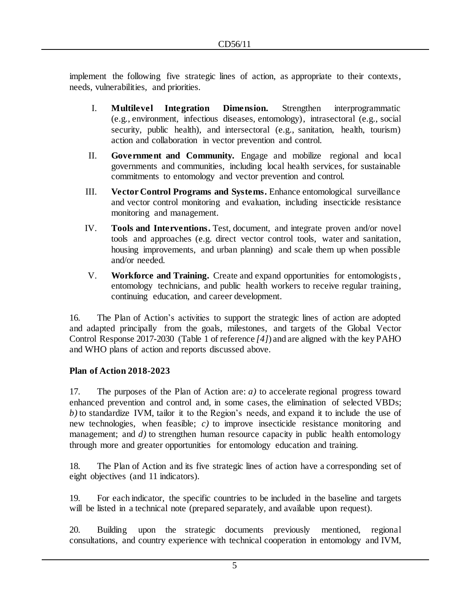implement the following five strategic lines of action, as appropriate to their contexts, needs, vulnerabilities, and priorities.

- I. **Multilevel Integration Dimension.** Strengthen interprogrammatic (e.g., environment, infectious diseases, entomology), intrasectoral (e.g., social security, public health), and intersectoral (e.g., sanitation, health, tourism) action and collaboration in vector prevention and control.
- II. **Government and Community.** Engage and mobilize regional and local governments and communities, including local health services, for sustainable commitments to entomology and vector prevention and control.
- III. **Vector Control Programs and Systems.** Enhance entomological surveillance and vector control monitoring and evaluation, including insecticide resistance monitoring and management.
- IV. **Tools and Interventions.** Test, document, and integrate proven and/or novel tools and approaches (e.g. direct vector control tools, water and sanitation, housing improvements, and urban planning) and scale them up when possible and/or needed.
- V. **Workforce and Training.** Create and expand opportunities for entomologists , entomology technicians, and public health workers to receive regular training, continuing education, and career development.

16. The Plan of Action's activities to support the strategic lines of action are adopted and adapted principally from the goals, milestones, and targets of the Global Vector Control Response 2017-2030 (Table 1 of reference *[4]*) and are aligned with the key PAHO and WHO plans of action and reports discussed above.

# **Plan of Action 2018-2023**

17. The purposes of the Plan of Action are: *a)* to accelerate regional progress toward enhanced prevention and control and, in some cases, the elimination of selected VBDs; *b)* to standardize IVM, tailor it to the Region's needs, and expand it to include the use of new technologies, when feasible; *c)* to improve insecticide resistance monitoring and management; and *d*) to strengthen human resource capacity in public health entomology through more and greater opportunities for entomology education and training.

18. The Plan of Action and its five strategic lines of action have a corresponding set of eight objectives (and 11 indicators).

19. For each indicator, the specific countries to be included in the baseline and targets will be listed in a technical note (prepared separately, and available upon request).

20. Building upon the strategic documents previously mentioned, regional consultations, and country experience with technical cooperation in entomology and IVM,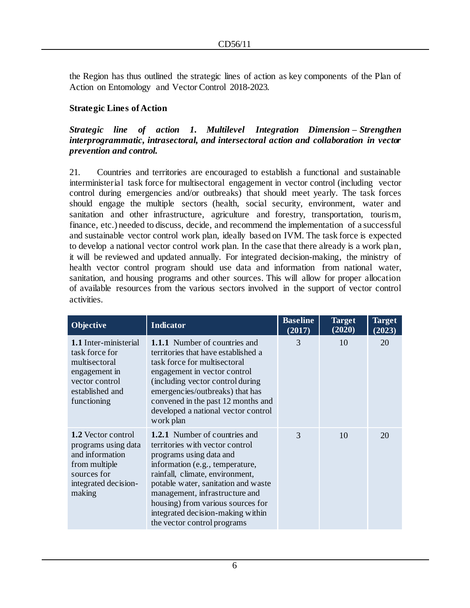the Region has thus outlined the strategic lines of action as key components of the Plan of Action on Entomology and Vector Control 2018-2023*.* 

# **Strategic Lines of Action**

### *Strategic line of action 1. Multilevel Integration Dimension – Strengthen interprogrammatic, intrasectoral, and intersectoral action and collaboration in vector prevention and control.*

21. Countries and territories are encouraged to establish a functional and sustainable interministerial task force for multisectoral engagement in vector control (including vector control during emergencies and/or outbreaks) that should meet yearly. The task forces should engage the multiple sectors (health, social security, environment, water and sanitation and other infrastructure, agriculture and forestry, transportation, tourism, finance, etc.) needed to discuss, decide, and recommend the implementation of a successful and sustainable vector control work plan, ideally based on IVM. The task force is expected to develop a national vector control work plan. In the case that there already is a work plan, it will be reviewed and updated annually. For integrated decision-making, the ministry of health vector control program should use data and information from national water, sanitation, and housing programs and other sources. This will allow for proper allocation of available resources from the various sectors involved in the support of vector control activities.

| <b>Objective</b>                                                                                                                     | <b>Indicator</b>                                                                                                                                                                                                                                                                                                                                           | <b>Baseline</b><br>(2017) | <b>Target</b><br>(2020) | <b>Target</b><br>(2023) |
|--------------------------------------------------------------------------------------------------------------------------------------|------------------------------------------------------------------------------------------------------------------------------------------------------------------------------------------------------------------------------------------------------------------------------------------------------------------------------------------------------------|---------------------------|-------------------------|-------------------------|
| <b>1.1</b> Inter-ministerial<br>task force for<br>multisectoral<br>engagement in<br>vector control<br>established and<br>functioning | <b>1.1.1</b> Number of countries and<br>territories that have established a<br>task force for multisectoral<br>engagement in vector control<br>(including vector control during)<br>emergencies/outbreaks) that has<br>convened in the past 12 months and<br>developed a national vector control<br>work plan                                              | 3                         | 10                      | 20                      |
| 1.2 Vector control<br>programs using data<br>and information<br>from multiple<br>sources for<br>integrated decision-<br>making       | <b>1.2.1</b> Number of countries and<br>territories with vector control<br>programs using data and<br>information (e.g., temperature,<br>rainfall, climate, environment,<br>potable water, sanitation and waste<br>management, infrastructure and<br>housing) from various sources for<br>integrated decision-making within<br>the vector control programs | 3                         | 10                      | 20                      |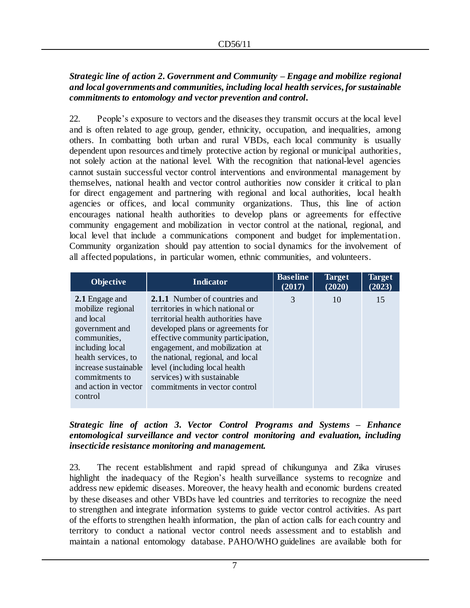# *Strategic line of action 2. Government and Community – Engage and mobilize regional and local governments and communities, including local health services, for sustainable commitments to entomology and vector prevention and control.*

22. People's exposure to vectors and the diseases they transmit occurs at the local level and is often related to age group, gender, ethnicity, occupation, and inequalities, among others. In combatting both urban and rural VBDs, each local community is usually dependent upon resources and timely protective action by regional or municipal authorities, not solely action at the national level. With the recognition that national-level agencies cannot sustain successful vector control interventions and environmental management by themselves, national health and vector control authorities now consider it critical to plan for direct engagement and partnering with regional and local authorities, local health agencies or offices, and local community organizations. Thus, this line of action encourages national health authorities to develop plans or agreements for effective community engagement and mobilization in vector control at the national, regional, and local level that include a communications component and budget for implementation. Community organization should pay attention to social dynamics for the involvement of all affected populations, in particular women, ethnic communities, and volunteers.

| <b>Objective</b>                                                                                                                                                                                          | Indicator                                                                                                                                                                                                                                                                                                                                                           | <b>Baseline</b><br>(2017) | <b>Target</b><br>(2020) | <b>Target</b><br>(2023) |
|-----------------------------------------------------------------------------------------------------------------------------------------------------------------------------------------------------------|---------------------------------------------------------------------------------------------------------------------------------------------------------------------------------------------------------------------------------------------------------------------------------------------------------------------------------------------------------------------|---------------------------|-------------------------|-------------------------|
| 2.1 Engage and<br>mobilize regional<br>and local<br>government and<br>communities,<br>including local<br>health services, to<br>increase sustainable<br>commitments to<br>and action in vector<br>control | <b>2.1.1</b> Number of countries and<br>territories in which national or<br>territorial health authorities have<br>developed plans or agreements for<br>effective community participation,<br>engagement, and mobilization at<br>the national, regional, and local<br>level (including local health)<br>services) with sustainable<br>commitments in vector control | 3                         | 10                      | 15                      |
|                                                                                                                                                                                                           |                                                                                                                                                                                                                                                                                                                                                                     |                           |                         |                         |

# *Strategic line of action 3. Vector Control Programs and Systems – Enhance entomological surveillance and vector control monitoring and evaluation, including insecticide resistance monitoring and management.*

23. The recent establishment and rapid spread of chikungunya and Zika viruses highlight the inadequacy of the Region's health surveillance systems to recognize and address new epidemic diseases. Moreover, the heavy health and economic burdens created by these diseases and other VBDs have led countries and territories to recognize the need to strengthen and integrate information systems to guide vector control activities. As part of the efforts to strengthen health information, the plan of action calls for each country and territory to conduct a national vector control needs assessment and to establish and maintain a national entomology database. PAHO/WHO guidelines are available both for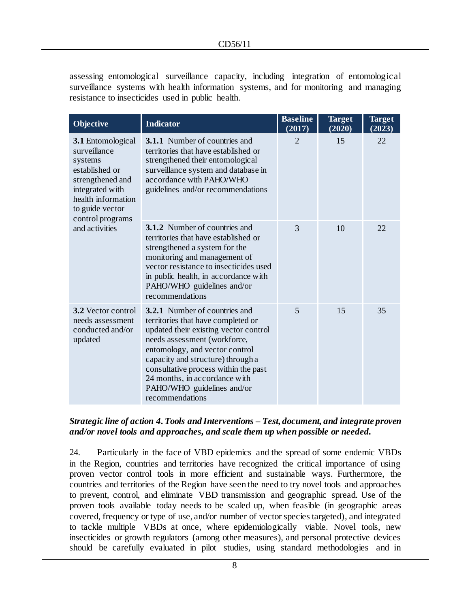assessing entomological surveillance capacity, including integration of entomological surveillance systems with health information systems, and for monitoring and managing resistance to insecticides used in public health.

| Objective                                                                                                                                                          | <b>Indicator</b>                                                                                                                                                                                                                                                                                                                                     | <b>Baseline</b><br>(2017) | <b>Target</b><br>(2020) | <b>Target</b><br>(2023) |
|--------------------------------------------------------------------------------------------------------------------------------------------------------------------|------------------------------------------------------------------------------------------------------------------------------------------------------------------------------------------------------------------------------------------------------------------------------------------------------------------------------------------------------|---------------------------|-------------------------|-------------------------|
| 3.1 Entomological<br>surveillance<br>systems<br>established or<br>strengthened and<br>integrated with<br>health information<br>to guide vector<br>control programs | <b>3.1.1</b> Number of countries and<br>territories that have established or<br>strengthened their entomological<br>surveillance system and database in<br>accordance with PAHO/WHO<br>guidelines and/or recommendations                                                                                                                             | $\overline{2}$            | 15                      | 22                      |
| and activities                                                                                                                                                     | 3.1.2 Number of countries and<br>territories that have established or<br>strengthened a system for the<br>monitoring and management of<br>vector resistance to insecticides used<br>in public health, in accordance with<br>PAHO/WHO guidelines and/or<br>recommendations                                                                            | 3                         | 10                      | 22                      |
| <b>3.2</b> Vector control<br>needs assessment<br>conducted and/or<br>updated                                                                                       | <b>3.2.1</b> Number of countries and<br>territories that have completed or<br>updated their existing vector control<br>needs assessment (workforce,<br>entomology, and vector control<br>capacity and structure) through a<br>consultative process within the past<br>24 months, in accordance with<br>PAHO/WHO guidelines and/or<br>recommendations | 5                         | 15                      | 35                      |

### *Strategic line of action 4. Tools and Interventions – Test, document, and integrate proven and/or novel tools and approaches, and scale them up when possible or needed.*

24. Particularly in the face of VBD epidemics and the spread of some endemic VBDs in the Region, countries and territories have recognized the critical importance of using proven vector control tools in more efficient and sustainable ways. Furthermore, the countries and territories of the Region have seen the need to try novel tools and approaches to prevent, control, and eliminate VBD transmission and geographic spread. Use of the proven tools available today needs to be scaled up, when feasible (in geographic areas covered, frequency or type of use, and/or number of vector species targeted), and integrated to tackle multiple VBDs at once, where epidemiologically viable. Novel tools, new insecticides or growth regulators (among other measures), and personal protective devices should be carefully evaluated in pilot studies, using standard methodologies and in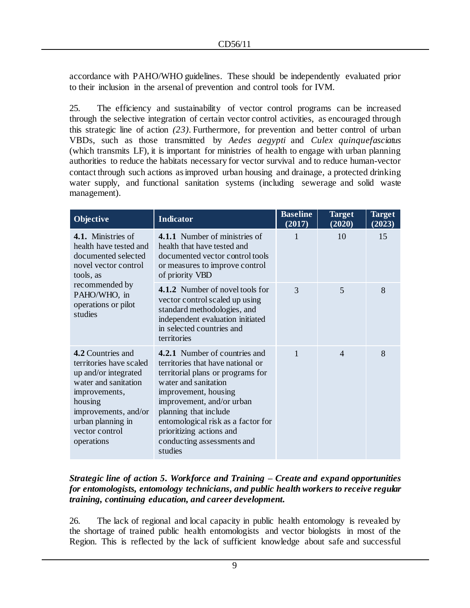accordance with PAHO/WHO guidelines. These should be independently evaluated prior to their inclusion in the arsenal of prevention and control tools for IVM.

25. The efficiency and sustainability of vector control programs can be increased through the selective integration of certain vector control activities, as encouraged through this strategic line of action *(23)*. Furthermore, for prevention and better control of urban VBDs, such as those transmitted by *Aedes aegypti* and *Culex quinquefasciatus* (which transmits LF), it is important for ministries of health to engage with urban planning authorities to reduce the habitats necessary for vector survival and to reduce human-vector contact through such actions as improved urban housing and drainage, a protected drinking water supply, and functional sanitation systems (including sewerage and solid waste management).

| Objective                                                                                                                                                                                             | <b>Indicator</b>                                                                                                                                                                                                                                                                                                         | <b>Baseline</b><br>(2017) | <b>Target</b><br>(2020) | Target<br>(2023) |
|-------------------------------------------------------------------------------------------------------------------------------------------------------------------------------------------------------|--------------------------------------------------------------------------------------------------------------------------------------------------------------------------------------------------------------------------------------------------------------------------------------------------------------------------|---------------------------|-------------------------|------------------|
| 4.1. Ministries of<br>health have tested and<br>documented selected<br>novel vector control<br>tools, as                                                                                              | 4.1.1 Number of ministries of<br>health that have tested and<br>documented vector control tools<br>or measures to improve control<br>of priority VBD                                                                                                                                                                     |                           | 10                      | 15               |
| recommended by<br>PAHO/WHO, in<br>operations or pilot<br>studies                                                                                                                                      | 4.1.2 Number of novel tools for<br>vector control scaled up using<br>standard methodologies, and<br>independent evaluation initiated<br>in selected countries and<br>territories                                                                                                                                         | 3                         | 5                       | 8                |
| 4.2 Countries and<br>territories have scaled<br>up and/or integrated<br>water and sanitation<br>improvements,<br>housing<br>improvements, and/or<br>urban planning in<br>vector control<br>operations | 4.2.1 Number of countries and<br>territories that have national or<br>territorial plans or programs for<br>water and sanitation<br>improvement, housing<br>improvement, and/or urban<br>planning that include<br>entomological risk as a factor for<br>prioritizing actions and<br>conducting assessments and<br>studies | $\mathbf{1}$              | $\overline{4}$          | 8                |

### *Strategic line of action 5. Workforce and Training – Create and expand opportunities for entomologists, entomology technicians, and public health workers to receive regular training, continuing education, and career development.*

26. The lack of regional and local capacity in public health entomology is revealed by the shortage of trained public health entomologists and vector biologists in most of the Region. This is reflected by the lack of sufficient knowledge about safe and successful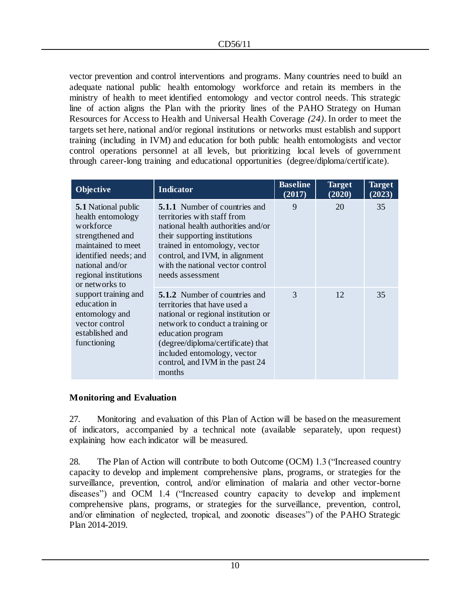vector prevention and control interventions and programs. Many countries need to build an adequate national public health entomology workforce and retain its members in the ministry of health to meet identified entomology and vector control needs. This strategic line of action aligns the Plan with the priority lines of the PAHO Strategy on Human Resources for Access to Health and Universal Health Coverage *(24)*. In order to meet the targets set here, national and/or regional institutions or networks must establish and support training (including in IVM) and education for both public health entomologists and vector control operations personnel at all levels, but prioritizing local levels of government through career-long training and educational opportunities (degree/diploma/certificate).

| <b>Indicator</b><br>Objective                                                                                                                                                                 |                                                                                                                                                                                                                                                                                       | <b>Baseline</b><br>(2017) | <b>Target</b><br>(2020) | <b>Target</b><br>(2023) |
|-----------------------------------------------------------------------------------------------------------------------------------------------------------------------------------------------|---------------------------------------------------------------------------------------------------------------------------------------------------------------------------------------------------------------------------------------------------------------------------------------|---------------------------|-------------------------|-------------------------|
| <b>5.1</b> National public<br>health entomology<br>workforce<br>strengthened and<br>maintained to meet<br>identified needs; and<br>national and/or<br>regional institutions<br>or networks to | <b>5.1.1</b> Number of countries and<br>territories with staff from<br>national health authorities and/or<br>their supporting institutions<br>trained in entomology, vector<br>control, and IVM, in alignment<br>with the national vector control<br>needs assessment                 | 9                         | 20                      | 35                      |
| support training and<br>education in<br>entomology and<br>vector control<br>established and<br>functioning                                                                                    | <b>5.1.2</b> Number of countries and<br>territories that have used a<br>national or regional institution or<br>network to conduct a training or<br>education program<br>(degree/diploma/certificate) that<br>included entomology, vector<br>control, and IVM in the past 24<br>months | $\mathcal{R}$             | 12                      | 35                      |

# **Monitoring and Evaluation**

27. Monitoring and evaluation of this Plan of Action will be based on the measurement of indicators, accompanied by a technical note (available separately, upon request) explaining how each indicator will be measured.

28. The Plan of Action will contribute to both Outcome (OCM) 1.3 ("Increased country capacity to develop and implement comprehensive plans, programs, or strategies for the surveillance, prevention, control, and/or elimination of malaria and other vector-borne diseases") and OCM 1.4 ("Increased country capacity to develop and implement comprehensive plans, programs, or strategies for the surveillance, prevention, control, and/or elimination of neglected, tropical, and zoonotic diseases") of the PAHO Strategic Plan 2014-2019.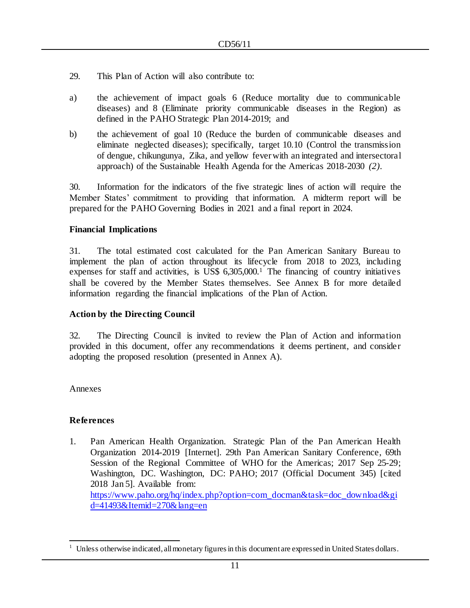- 29. This Plan of Action will also contribute to:
- a) the achievement of impact goals 6 (Reduce mortality due to communicable diseases) and 8 (Eliminate priority communicable diseases in the Region) as defined in the PAHO Strategic Plan 2014-2019; and
- b) the achievement of goal 10 (Reduce the burden of communicable diseases and eliminate neglected diseases); specifically, target 10.10 (Control the transmission of dengue, chikungunya, Zika, and yellow fever with an integrated and intersectoral approach) of the Sustainable Health Agenda for the Americas 2018-2030 *(2)*.

30. Information for the indicators of the five strategic lines of action will require the Member States' commitment to providing that information. A midterm report will be prepared for the PAHO Governing Bodies in 2021 and a final report in 2024.

### **Financial Implications**

31. The total estimated cost calculated for the Pan American Sanitary Bureau to implement the plan of action throughout its lifecycle from 2018 to 2023, including expenses for staff and activities, is US\$ 6,305,000.<sup>1</sup> The financing of country initiatives shall be covered by the Member States themselves. See Annex B for more detailed information regarding the financial implications of the Plan of Action.

# **Action by the Directing Council**

32. The Directing Council is invited to review the Plan of Action and information provided in this document, offer any recommendations it deems pertinent, and consider adopting the proposed resolution (presented in Annex A).

Annexes

l

# **References**

1. Pan American Health Organization. Strategic Plan of the Pan American Health Organization 2014-2019 [Internet]. 29th Pan American Sanitary Conference, 69th Session of the Regional Committee of WHO for the Americas; 2017 Sep 25-29; Washington, DC. Washington, DC: PAHO; 2017 (Official Document 345) [cited 2018 Jan 5]. Available from: [https://www.paho.org/hq/index.php?option=com\\_docman&task=doc\\_download&gi](https://www.paho.org/hq/index.php?option=com_docman&task=doc_download&gid=41493&Itemid=270&lang=en) [d=41493&Itemid=270&lang=en](https://www.paho.org/hq/index.php?option=com_docman&task=doc_download&gid=41493&Itemid=270&lang=en)

<sup>&</sup>lt;sup>1</sup> Unless otherwise indicated, all monetary figures in this document are expressed in United States dollars.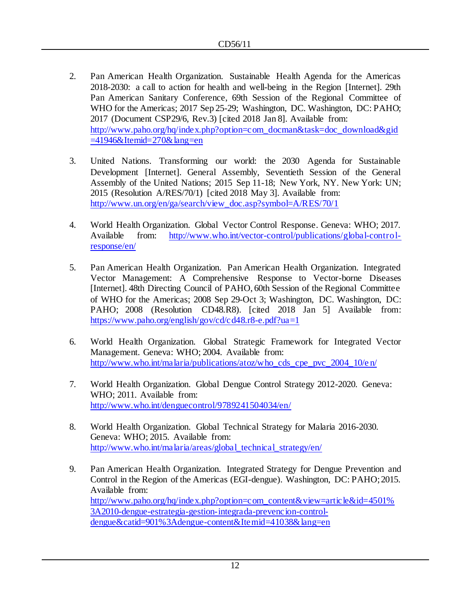- 2. Pan American Health Organization. Sustainable Health Agenda for the Americas 2018-2030: a call to action for health and well-being in the Region [Internet]. 29th Pan American Sanitary Conference, 69th Session of the Regional Committee of WHO for the Americas; 2017 Sep 25-29; Washington, DC. Washington, DC: PAHO; 2017 (Document CSP29/6, Rev.3) [cited 2018 Jan 8]. Available from: [http://www.paho.org/hq/index.php?option=com\\_docman&task=doc\\_download&gid](http://www.paho.org/hq/index.php?option=com_docman&task=doc_download&gid=41946&Itemid=270&lang=en)  $=41946\&$ Itemid $=270\&$ lang $=$ en
- 3. United Nations. Transforming our world: the 2030 Agenda for Sustainable Development [Internet]. General Assembly, Seventieth Session of the General Assembly of the United Nations; 2015 Sep 11-18; New York, NY. New York: UN; 2015 (Resolution A/RES/70/1) [cited 2018 May 3]. Available from: [http://www.un.org/en/ga/search/view\\_doc.asp?symbol=A/RES/70/1](http://www.un.org/en/ga/search/view_doc.asp?symbol=A/RES/70/1)
- 4. World Health Organization. Global Vector Control Response. Geneva: WHO; 2017. Available from: [http://www.who.int/vector-control/publications/global-control](http://www.who.int/vector-control/publications/global-control-response/en/)[response/en/](http://www.who.int/vector-control/publications/global-control-response/en/)
- 5. Pan American Health Organization. Pan American Health Organization. Integrated Vector Management: A Comprehensive Response to Vector-borne Diseases [Internet]. 48th Directing Council of PAHO, 60th Session of the Regional Committee of WHO for the Americas; 2008 Sep 29-Oct 3; Washington, DC. Washington, DC: PAHO; 2008 (Resolution CD48.R8). [cited 2018 Jan 5] Available from: <https://www.paho.org/english/gov/cd/cd48.r8-e.pdf?ua=1>
- 6. World Health Organization. Global Strategic Framework for Integrated Vector Management. Geneva: WHO; 2004. Available from: [http://www.who.int/malaria/publications/atoz/who\\_cds\\_cpe\\_pvc\\_2004\\_10/e](http://www.who.int/malaria/publications/atoz/who_cds_cpe_pvc_2004_10/en/) n/
- 7. World Health Organization. Global Dengue Control Strategy 2012-2020. Geneva: WHO; 2011. Available from: <http://www.who.int/denguecontrol/9789241504034/en/>
- 8. World Health Organization. Global Technical Strategy for Malaria 2016-2030. Geneva: WHO; 2015. Available from: [http://www.who.int/malaria/areas/global\\_technical\\_strategy/en/](http://www.who.int/malaria/areas/global_technical_strategy/en/)
- 9. Pan American Health Organization. Integrated Strategy for Dengue Prevention and Control in the Region of the Americas (EGI-dengue). Washington, DC: PAHO; 2015. Available from: [http://www.paho.org/hq/index.php?option=com\\_content&view=article&id=4501%](http://www.paho.org/hq/index.php?option=com_content&view=article&id=4501%3A2010-dengue-estrategia-gestion-integrada-prevencion-control-dengue&catid=901%3Adengue-content&Itemid=41038&lang=en) [3A2010-dengue-estrategia-gestion-integrada-prevencion-control](http://www.paho.org/hq/index.php?option=com_content&view=article&id=4501%3A2010-dengue-estrategia-gestion-integrada-prevencion-control-dengue&catid=901%3Adengue-content&Itemid=41038&lang=en)[dengue&catid=901%3Adengue-content&Itemid=41038&lang=en](http://www.paho.org/hq/index.php?option=com_content&view=article&id=4501%3A2010-dengue-estrategia-gestion-integrada-prevencion-control-dengue&catid=901%3Adengue-content&Itemid=41038&lang=en)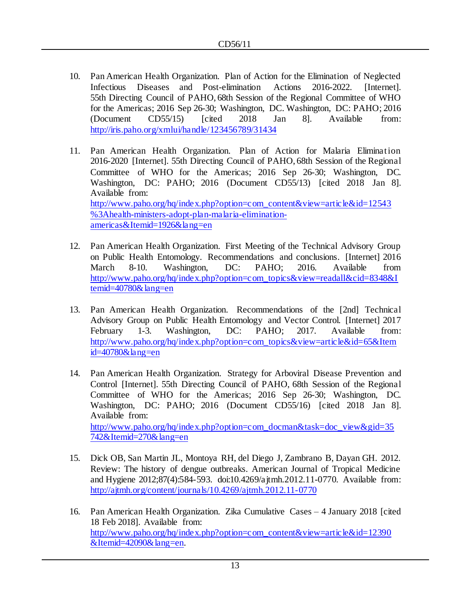- 10. Pan American Health Organization. Plan of Action for the Elimination of Neglected Infectious Diseases and Post-elimination Actions 2016-2022. [Internet]. 55th Directing Council of PAHO, 68th Session of the Regional Committee of WHO for the Americas; 2016 Sep 26-30; Washington, DC. Washington, DC: PAHO; 2016 (Document CD55/15) [cited 2018 Jan 8]. Available from: <http://iris.paho.org/xmlui/handle/123456789/31434>
- 11. Pan American Health Organization. Plan of Action for Malaria Elimination 2016-2020 [Internet]. 55th Directing Council of PAHO, 68th Session of the Regional Committee of WHO for the Americas; 2016 Sep 26-30; Washington, DC. Washington, DC: PAHO; 2016 (Document CD55/13) [cited 2018 Jan 8]. Available from: [http://www.paho.org/hq/index.php?option=com\\_content&view=article&id=12543](http://www.paho.org/hq/index.php?option=com_content&view=article&id=12543%3Ahealth-ministers-adopt-plan-malaria-elimination-americas&Itemid=1926&lang=en) [%3Ahealth-ministers-adopt-plan-malaria-elimination](http://www.paho.org/hq/index.php?option=com_content&view=article&id=12543%3Ahealth-ministers-adopt-plan-malaria-elimination-americas&Itemid=1926&lang=en)[americas&Itemid=1926&lang=en](http://www.paho.org/hq/index.php?option=com_content&view=article&id=12543%3Ahealth-ministers-adopt-plan-malaria-elimination-americas&Itemid=1926&lang=en)
- 12. Pan American Health Organization. First Meeting of the Technical Advisory Group on Public Health Entomology. Recommendations and conclusions. [Internet] 2016 March 8-10. Washington, DC: PAHO; 2016. Available from [http://www.paho.org/hq/index.php?option=com\\_topics&view=readall&cid=8348&I](http://www.paho.org/hq/index.php?option=com_topics&view=readall&cid=8348&Itemid=40780&lang=en) [temid=40780&lang=en](http://www.paho.org/hq/index.php?option=com_topics&view=readall&cid=8348&Itemid=40780&lang=en)
- 13. Pan American Health Organization. Recommendations of the [2nd] Technical Advisory Group on Public Health Entomology and Vector Control. [Internet] 2017 February 1-3. Washington, DC: PAHO; 2017. Available from: [http://www.paho.org/hq/index.php?option=com\\_topics&view=article&id=65&Item](http://www.paho.org/hq/index.php?option=com_topics&view=article&id=65&Itemid=40780&lang=en) [id=40780&lang=en](http://www.paho.org/hq/index.php?option=com_topics&view=article&id=65&Itemid=40780&lang=en)
- 14. Pan American Health Organization. Strategy for Arboviral Disease Prevention and Control [Internet]. 55th Directing Council of PAHO, 68th Session of the Regional Committee of WHO for the Americas; 2016 Sep 26-30; Washington, DC. Washington, DC: PAHO; 2016 (Document CD55/16) [cited 2018 Jan 8]. Available from: [http://www.paho.org/hq/index.php?option=com\\_docman&task=doc\\_view&gid=35](http://www.paho.org/hq/index.php?option=com_docman&task=doc_view&gid=35742&Itemid=270&lang=en) [742&Itemid=270&lang=en](http://www.paho.org/hq/index.php?option=com_docman&task=doc_view&gid=35742&Itemid=270&lang=en)
- 15. Dick OB, San Martin JL, Montoya RH, del Diego J, Zambrano B, Dayan GH. 2012. Review: The history of dengue outbreaks. American Journal of Tropical Medicine and Hygiene 2012;87(4):584-593. doi:10.4269/ajtmh.2012.11-0770. Available from: <http://ajtmh.org/content/journals/10.4269/ajtmh.2012.11-0770>
- 16. Pan American Health Organization. Zika Cumulative Cases 4 January 2018 [cited 18 Feb 2018]. Available from: [http://www.paho.org/hq/index.php?option=com\\_content&view=article&id=12390](http://www.paho.org/hq/index.php?option=com_content&view=article&id=12390&Itemid=42090&lang=en)  $&$ Itemid=42090 $&$ lang=en.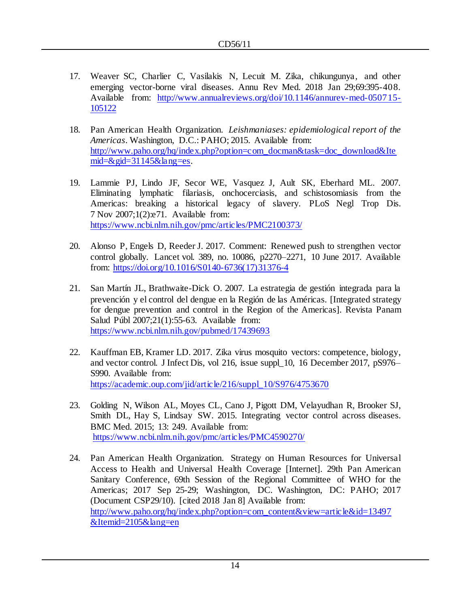- 17. Weaver SC, Charlier C, Vasilakis N, Lecuit M. Zika, chikungunya, and other emerging vector-borne viral diseases. Annu Rev Med. 2018 Jan 29;69:395-408. Available from: [http://www.annualreviews.org/doi/10.1146/annurev-med-050715-](http://www.annualreviews.org/doi/10.1146/annurev-med-050715-105122) [105122](http://www.annualreviews.org/doi/10.1146/annurev-med-050715-105122)
- 18. Pan American Health Organization. *Leishmaniases: epidemiological report of the Americas*. Washington, D.C.: PAHO; 2015. Available from: [http://www.paho.org/hq/index.php?option=com\\_docman&task=doc\\_download&Ite](http://www.paho.org/hq/index.php?option=com_docman&task=doc_download&Itemid=&gid=31145&lang=es) mid= $\&$ gid=31145 $\&$ lang=es.
- 19. Lammie PJ, Lindo JF, Secor WE, Vasquez J, Ault SK, Eberhard ML. 2007. Eliminating lymphatic filariasis, onchocerciasis, and schistosomiasis from the Americas: breaking a historical legacy of slavery. PLoS Negl Trop Dis. 7 Nov 2007;1(2):e71. Available from: <https://www.ncbi.nlm.nih.gov/pmc/articles/PMC2100373/>
- 20. Alonso P, Engels D, Reeder J. 2017. Comment: Renewed push to strengthen vector control globally. Lancet vol. 389, no. 10086, p2270–2271, 10 June 2017. Available from: [https://doi.org/10.1016/S0140-6736\(17\)31376-4](https://doi.org/10.1016/S0140-6736(17)31376-4)
- 21. San Martín JL, Brathwaite-Dick O. 2007. La estrategia de gestión integrada para la prevención y el control del dengue en la Región de las Américas. [Integrated strategy for dengue prevention and control in the Region of the Americas]. Revista Panam Salud Públ 2007;21(1):55-63. Available from: <https://www.ncbi.nlm.nih.gov/pubmed/17439693>
- 22. Kauffman EB, Kramer LD. 2017. Zika virus mosquito vectors: competence, biology, and vector control. J Infect Dis, vol 216, issue suppl\_10, 16 December 2017, pS976– S990. Available from: [https://academic.oup.com/jid/article/216/suppl\\_10/S976/4753670](https://academic.oup.com/jid/article/216/suppl_10/S976/4753670)
- 23. Golding N, Wilson AL, Moyes CL, Cano J, Pigott DM, Velayudhan R, Brooker SJ, Smith DL, Hay S, Lindsay SW. 2015. Integrating vector control across diseases. BMC Med. 2015; 13: 249. Available from: <https://www.ncbi.nlm.nih.gov/pmc/articles/PMC4590270/>
- 24. Pan American Health Organization. Strategy on Human Resources for Universal Access to Health and Universal Health Coverage [Internet]. 29th Pan American Sanitary Conference, 69th Session of the Regional Committee of WHO for the Americas; 2017 Sep 25-29; Washington, DC. Washington, DC: PAHO; 2017 (Document CSP29/10). [cited 2018 Jan 8] Available from: [http://www.paho.org/hq/index.php?option=com\\_content&view=article&id=13497](http://www.paho.org/hq/index.php?option=com_content&view=article&id=13497&Itemid=2105&lang=en) [&Itemid=2105&lang=en](http://www.paho.org/hq/index.php?option=com_content&view=article&id=13497&Itemid=2105&lang=en)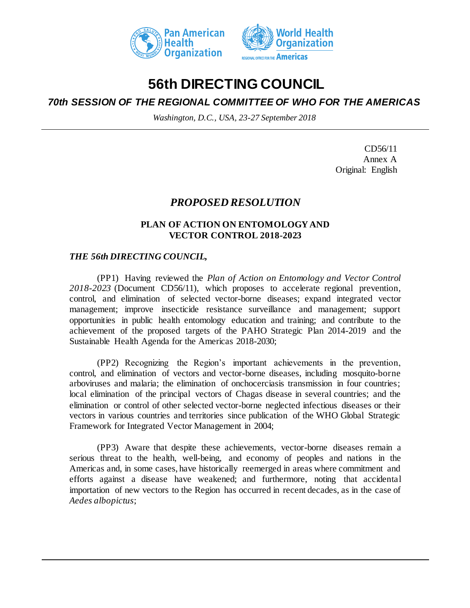



# **56th DIRECTING COUNCIL**

# *70th SESSION OF THE REGIONAL COMMITTEE OF WHO FOR THE AMERICAS*

*Washington, D.C., USA, 23-27 September 2018*

CD56/11 Annex A Original: English

# *PROPOSED RESOLUTION*

# **PLAN OF ACTION ON ENTOMOLOGY AND VECTOR CONTROL 2018-2023**

# *THE 56th DIRECTING COUNCIL,*

(PP1) Having reviewed the *Plan of Action on Entomology and Vector Control 2018-2023* (Document CD56/11), which proposes to accelerate regional prevention, control, and elimination of selected vector-borne diseases; expand integrated vector management; improve insecticide resistance surveillance and management; support opportunities in public health entomology education and training; and contribute to the achievement of the proposed targets of the PAHO Strategic Plan 2014-2019 and the Sustainable Health Agenda for the Americas 2018-2030;

(PP2) Recognizing the Region's important achievements in the prevention, control, and elimination of vectors and vector-borne diseases, including mosquito-borne arboviruses and malaria; the elimination of onchocerciasis transmission in four countries; local elimination of the principal vectors of Chagas disease in several countries; and the elimination or control of other selected vector-borne neglected infectious diseases or their vectors in various countries and territories since publication of the WHO Global Strategic Framework for Integrated Vector Management in 2004;

(PP3) Aware that despite these achievements, vector-borne diseases remain a serious threat to the health, well-being, and economy of peoples and nations in the Americas and, in some cases, have historically reemerged in areas where commitment and efforts against a disease have weakened; and furthermore, noting that accidental importation of new vectors to the Region has occurred in recent decades, as in the case of *Aedes albopictus*;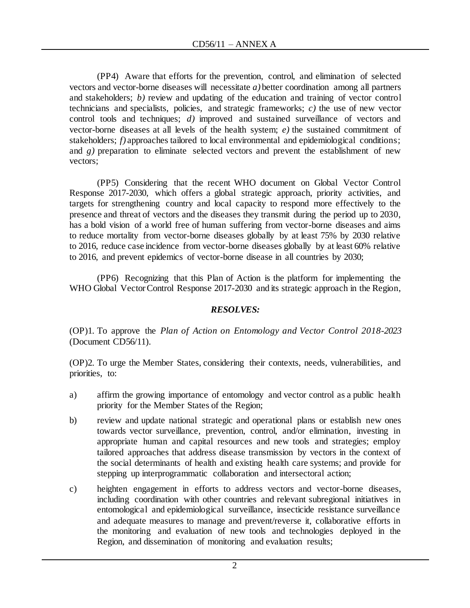(PP4) Aware that efforts for the prevention, control, and elimination of selected vectors and vector-borne diseases will necessitate *a)* better coordination among all partners and stakeholders; *b)* review and updating of the education and training of vector control technicians and specialists, policies, and strategic frameworks; *c)* the use of new vector control tools and techniques; *d)* improved and sustained surveillance of vectors and vector-borne diseases at all levels of the health system; *e)* the sustained commitment of stakeholders; *f*) approaches tailored to local environmental and epidemiological conditions; and *g)* preparation to eliminate selected vectors and prevent the establishment of new vectors;

(PP5) Considering that the recent WHO document on Global Vector Control Response 2017-2030, which offers a global strategic approach, priority activities, and targets for strengthening country and local capacity to respond more effectively to the presence and threat of vectors and the diseases they transmit during the period up to 2030, has a bold vision of a world free of human suffering from vector-borne diseases and aims to reduce mortality from vector-borne diseases globally by at least 75% by 2030 relative to 2016, reduce case incidence from vector-borne diseases globally by at least 60% relative to 2016, and prevent epidemics of vector-borne disease in all countries by 2030;

(PP6) Recognizing that this Plan of Action is the platform for implementing the WHO Global Vector Control Response 2017-2030 and its strategic approach in the Region,

# *RESOLVES:*

(OP)1. To approve the *Plan of Action on Entomology and Vector Control 2018-2023* (Document CD56/11).

(OP)2. To urge the Member States, considering their contexts, needs, vulnerabilities, and priorities, to:

- a) affirm the growing importance of entomology and vector control as a public health priority for the Member States of the Region;
- b) review and update national strategic and operational plans or establish new ones towards vector surveillance, prevention, control, and/or elimination, investing in appropriate human and capital resources and new tools and strategies; employ tailored approaches that address disease transmission by vectors in the context of the social determinants of health and existing health care systems; and provide for stepping up interprogrammatic collaboration and intersectoral action;
- c) heighten engagement in efforts to address vectors and vector-borne diseases, including coordination with other countries and relevant subregional initiatives in entomological and epidemiological surveillance, insecticide resistance surveillance and adequate measures to manage and prevent/reverse it, collaborative efforts in the monitoring and evaluation of new tools and technologies deployed in the Region, and dissemination of monitoring and evaluation results;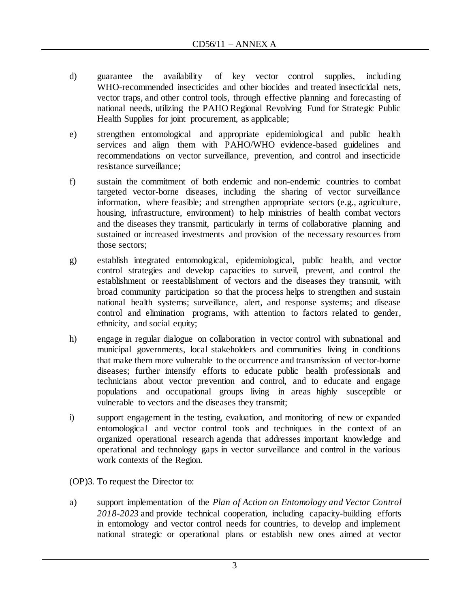- d) guarantee the availability of key vector control supplies, including WHO-recommended insecticides and other biocides and treated insecticidal nets, vector traps, and other control tools, through effective planning and forecasting of national needs, utilizing the PAHO Regional Revolving Fund for Strategic Public Health Supplies for joint procurement, as applicable;
- e) strengthen entomological and appropriate epidemiological and public health services and align them with PAHO/WHO evidence-based guidelines and recommendations on vector surveillance, prevention, and control and insecticide resistance surveillance;
- f) sustain the commitment of both endemic and non-endemic countries to combat targeted vector-borne diseases, including the sharing of vector surveillance information, where feasible; and strengthen appropriate sectors (e.g., agriculture, housing, infrastructure, environment) to help ministries of health combat vectors and the diseases they transmit, particularly in terms of collaborative planning and sustained or increased investments and provision of the necessary resources from those sectors;
- g) establish integrated entomological, epidemiological, public health, and vector control strategies and develop capacities to surveil, prevent, and control the establishment or reestablishment of vectors and the diseases they transmit, with broad community participation so that the process helps to strengthen and sustain national health systems; surveillance, alert, and response systems; and disease control and elimination programs, with attention to factors related to gender, ethnicity, and social equity;
- h) engage in regular dialogue on collaboration in vector control with subnational and municipal governments, local stakeholders and communities living in conditions that make them more vulnerable to the occurrence and transmission of vector-borne diseases; further intensify efforts to educate public health professionals and technicians about vector prevention and control, and to educate and engage populations and occupational groups living in areas highly susceptible or vulnerable to vectors and the diseases they transmit;
- i) support engagement in the testing, evaluation, and monitoring of new or expanded entomological and vector control tools and techniques in the context of an organized operational research agenda that addresses important knowledge and operational and technology gaps in vector surveillance and control in the various work contexts of the Region.

(OP)3. To request the Director to:

a) support implementation of the *Plan of Action on Entomology and Vector Control 2018-2023* and provide technical cooperation, including capacity-building efforts in entomology and vector control needs for countries, to develop and implement national strategic or operational plans or establish new ones aimed at vector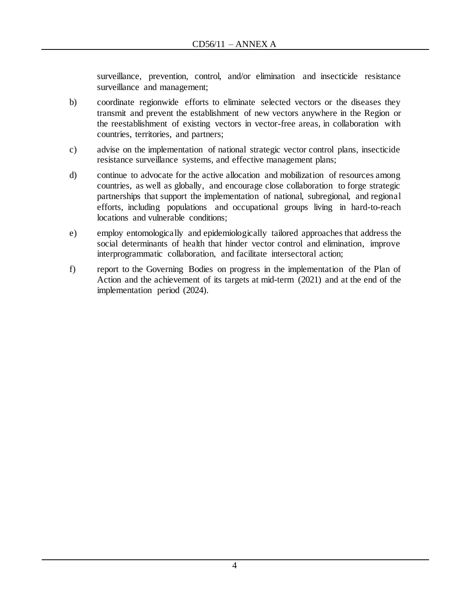surveillance, prevention, control, and/or elimination and insecticide resistance surveillance and management;

- b) coordinate regionwide efforts to eliminate selected vectors or the diseases they transmit and prevent the establishment of new vectors anywhere in the Region or the reestablishment of existing vectors in vector-free areas, in collaboration with countries, territories, and partners;
- c) advise on the implementation of national strategic vector control plans, insecticide resistance surveillance systems, and effective management plans;
- d) continue to advocate for the active allocation and mobilization of resources among countries, as well as globally, and encourage close collaboration to forge strategic partnerships that support the implementation of national, subregional, and regional efforts, including populations and occupational groups living in hard-to-reach locations and vulnerable conditions;
- e) employ entomologically and epidemiologically tailored approaches that address the social determinants of health that hinder vector control and elimination, improve interprogrammatic collaboration, and facilitate intersectoral action;
- f) report to the Governing Bodies on progress in the implementation of the Plan of Action and the achievement of its targets at mid-term (2021) and at the end of the implementation period (2024).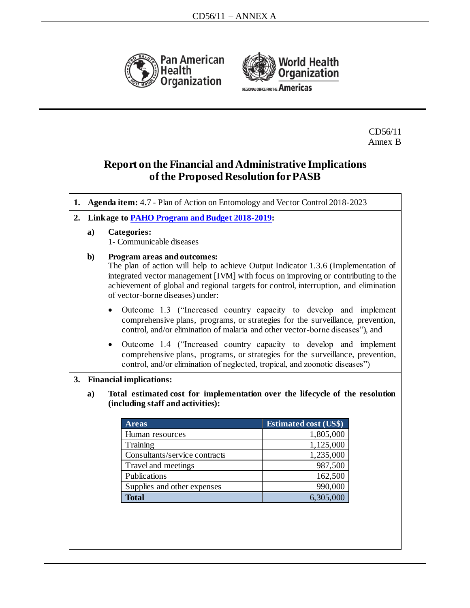



CD56/11 Annex B

# **Report on the Financial and Administrative Implications of the Proposed Resolution for PASB**

| 1. | Agenda item: 4.7 - Plan of Action on Entomology and Vector Control 2018-2023                                            |                                                                                                                                                                                                                                                                                                                                    |                              |  |  |
|----|-------------------------------------------------------------------------------------------------------------------------|------------------------------------------------------------------------------------------------------------------------------------------------------------------------------------------------------------------------------------------------------------------------------------------------------------------------------------|------------------------------|--|--|
| 2. |                                                                                                                         | Linkage to PAHO Program and Budget 2018-2019:                                                                                                                                                                                                                                                                                      |                              |  |  |
|    | $\mathbf{a}$                                                                                                            | <b>Categories:</b><br>1- Communicable diseases                                                                                                                                                                                                                                                                                     |                              |  |  |
|    | $\mathbf{b}$                                                                                                            | Program areas and outcomes:<br>The plan of action will help to achieve Output Indicator 1.3.6 (Implementation of<br>integrated vector management [IVM] with focus on improving or contributing to the<br>achievement of global and regional targets for control, interruption, and elimination<br>of vector-borne diseases) under: |                              |  |  |
|    |                                                                                                                         | Outcome 1.3 ("Increased country capacity to develop and implement<br>comprehensive plans, programs, or strategies for the surveillance, prevention,<br>control, and/or elimination of malaria and other vector-borne diseases"), and                                                                                               |                              |  |  |
|    |                                                                                                                         | Outcome 1.4 ("Increased country capacity to develop and implement<br>$\bullet$<br>comprehensive plans, programs, or strategies for the surveillance, prevention,<br>control, and/or elimination of neglected, tropical, and zoonotic diseases")                                                                                    |                              |  |  |
| 3. |                                                                                                                         | <b>Financial implications:</b>                                                                                                                                                                                                                                                                                                     |                              |  |  |
|    | Total estimated cost for implementation over the lifecycle of the resolution<br>a)<br>(including staff and activities): |                                                                                                                                                                                                                                                                                                                                    |                              |  |  |
|    |                                                                                                                         | <b>Areas</b>                                                                                                                                                                                                                                                                                                                       | <b>Estimated cost (US\$)</b> |  |  |
|    |                                                                                                                         | Human resources                                                                                                                                                                                                                                                                                                                    | 1,805,000                    |  |  |
|    |                                                                                                                         | Training                                                                                                                                                                                                                                                                                                                           | 1,125,000                    |  |  |
|    |                                                                                                                         | Consultants/service contracts                                                                                                                                                                                                                                                                                                      | 1,235,000                    |  |  |
|    |                                                                                                                         | Travel and meetings<br><b>Publications</b>                                                                                                                                                                                                                                                                                         | 987,500                      |  |  |
|    |                                                                                                                         | Supplies and other expenses                                                                                                                                                                                                                                                                                                        | 162,500<br>990,000           |  |  |
|    |                                                                                                                         | 6,305,000<br><b>Total</b>                                                                                                                                                                                                                                                                                                          |                              |  |  |
|    |                                                                                                                         |                                                                                                                                                                                                                                                                                                                                    |                              |  |  |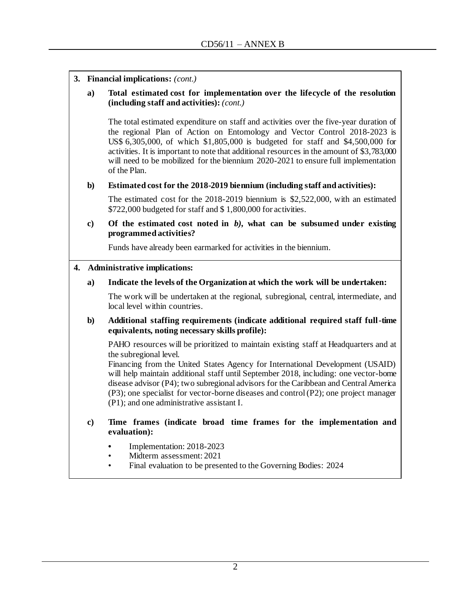|  |  | 3. Financial implications: (cont.) |  |
|--|--|------------------------------------|--|
|--|--|------------------------------------|--|

#### **a) Total estimated cost for implementation over the lifecycle of the resolution (including staff and activities):** *(cont.)*

The total estimated expenditure on staff and activities over the five-year duration of the regional Plan of Action on Entomology and Vector Control 2018-2023 is US\$ 6,305,000, of which \$1,805,000 is budgeted for staff and \$4,500,000 for activities. It is important to note that additional resources in the amount of \$3,783,000 will need to be mobilized for the biennium 2020-2021 to ensure full implementation of the Plan.

### **b) Estimated cost for the 2018-2019 biennium (including staff and activities):**

The estimated cost for the 2018-2019 biennium is \$2,522,000, with an estimated \$722,000 budgeted for staff and \$ 1,800,000 for activities.

### **c) Of the estimated cost noted in** *b),* **what can be subsumed under existing programmed activities?**

Funds have already been earmarked for activities in the biennium.

#### **4. Administrative implications:**

### **a) Indicate the levels of the Organization at which the work will be undertaken:**

The work will be undertaken at the regional, subregional, central, intermediate, and local level within countries.

### **b) Additional staffing requirements (indicate additional required staff full-time equivalents, noting necessary skills profile):**

PAHO resources will be prioritized to maintain existing staff at Headquarters and at the subregional level.

Financing from the United States Agency for International Development (USAID) will help maintain additional staff until September 2018, including: one vector-borne disease advisor (P4); two subregional advisors for the Caribbean and Central America (P3); one specialist for vector-borne diseases and control (P2); one project manager (P1); and one administrative assistant I.

- **c) Time frames (indicate broad time frames for the implementation and evaluation):** 
	- **•** Implementation: 2018-2023
	- Midterm assessment: 2021
	- Final evaluation to be presented to the Governing Bodies: 2024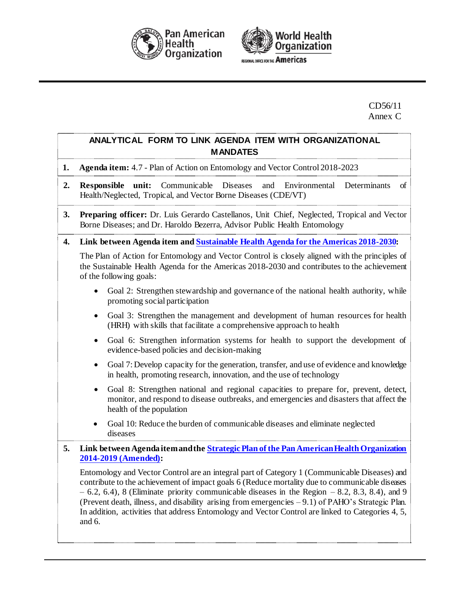



EGIONAL OFFICE FOR THE Americas

CD56/11 Annex C

# **ANALYTICAL FORM TO LINK AGENDA ITEM WITH ORGANIZATIONAL MANDATES**

- **1. Agenda item:** 4.7 Plan of Action on Entomology and Vector Control 2018-2023
- **2. Responsible unit:** Communicable Diseases and Environmental Determinants of Health/Neglected, Tropical, and Vector Borne Diseases (CDE/VT)
- **3. Preparing officer:** Dr. Luis Gerardo Castellanos, Unit Chief, Neglected, Tropical and Vector Borne Diseases; and Dr. Haroldo Bezerra, Advisor Public Health Entomology
- **4. Link between Agenda item an[d Sustainable Health Agenda for the Americas 2018-2030](http://new.paho.org/hq/index.php?option=com_docman&task=doc_download&gid=41946&Itemid=270&lang=en):**

The Plan of Action for Entomology and Vector Control is closely aligned with the principles of the Sustainable Health Agenda for the Americas 2018-2030 and contributes to the achievement of the following goals:

- Goal 2: Strengthen stewardship and governance of the national health authority, while promoting social participation
- Goal 3: Strengthen the management and development of human resources for health (HRH) with skills that facilitate a comprehensive approach to health
- Goal 6: Strengthen information systems for health to support the development of evidence-based policies and decision-making
- Goal 7: Develop capacity for the generation, transfer, and use of evidence and knowledge in health, promoting research, innovation, and the use of technology
- Goal 8: Strengthen national and regional capacities to prepare for, prevent, detect, monitor, and respond to disease outbreaks, and emergencies and disasters that affect the health of the population
- Goal 10: Reduce the burden of communicable diseases and eliminate neglected diseases

### **5. Link between Agenda item and th[e Strategic Plan of the Pan American Health Organization](http://new.paho.org/hq/index.php?option=com_docman&task=doc_download&gid=41493&Itemid=270&lang=en)  [2014-2019 \(Amended\)](http://new.paho.org/hq/index.php?option=com_docman&task=doc_download&gid=41493&Itemid=270&lang=en):**

Entomology and Vector Control are an integral part of Category 1 (Communicable Diseases) and contribute to the achievement of impact goals 6 (Reduce mortality due to communicable diseases  $-6.2, 6.4$ , 8 (Eliminate priority communicable diseases in the Region  $-8.2, 8.3, 8.4$ ), and 9 (Prevent death, illness, and disability arising from emergencies – 9.1) of PAHO's Strategic Plan. In addition, activities that address Entomology and Vector Control are linked to Categories 4, 5, and 6.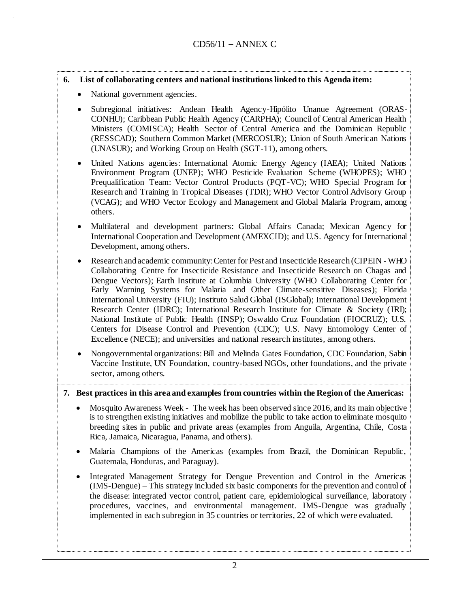### **6. List of collaborating centers and national institutions linked to this Agenda item:**

- National government agencies.
- Subregional initiatives: Andean Health Agency-Hipólito Unanue Agreement (ORAS-CONHU); Caribbean Public Health Agency (CARPHA); Council of Central American Health Ministers (COMISCA); Health Sector of Central America and the Dominican Republic (RESSCAD); Southern Common Market (MERCOSUR); Union of South American Nations (UNASUR); and Working Group on Health (SGT-11), among others.
- United Nations agencies: International Atomic Energy Agency (IAEA); United Nations Environment Program (UNEP); WHO Pesticide Evaluation Scheme (WHOPES); WHO Prequalification Team: Vector Control Products (PQT-VC); WHO Special Program for Research and Training in Tropical Diseases (TDR); WHO Vector Control Advisory Group (VCAG); and WHO Vector Ecology and Management and Global Malaria Program, among others.
- Multilateral and development partners: Global Affairs Canada; Mexican Agency for International Cooperation and Development (AMEXCID); and U.S. Agency for International Development, among others.
- Research and academic community: Center for Pest and Insecticide Research (CIPEIN WHO Collaborating Centre for Insecticide Resistance and Insecticide Research on Chagas and Dengue Vectors); Earth Institute at Columbia University (WHO Collaborating Center for Early Warning Systems for Malaria and Other Climate-sensitive Diseases); Florida International University (FIU); Instituto Salud Global (ISGlobal); International Development Research Center (IDRC); International Research Institute for Climate & Society (IRI); National Institute of Public Health (INSP); Oswaldo Cruz Foundation (FIOCRUZ); U.S. Centers for Disease Control and Prevention (CDC); U.S. Navy Entomology Center of Excellence (NECE); and universities and national research institutes, among others.
- Nongovernmental organizations: Bill and Melinda Gates Foundation, CDC Foundation, Sabin Vaccine Institute, UN Foundation, country-based NGOs, other foundations, and the private sector, among others.

#### **7. Best practices in this area and examples from countries within the Region of the Americas:**

- Mosquito Awareness Week The week has been observed since 2016, and its main objective is to strengthen existing initiatives and mobilize the public to take action to eliminate mosquito breeding sites in public and private areas (examples from Anguila, Argentina, Chile, Costa Rica, Jamaica, Nicaragua, Panama, and others).
- Malaria Champions of the Americas (examples from Brazil, the Dominican Republic, Guatemala, Honduras, and Paraguay).
- Integrated Management Strategy for Dengue Prevention and Control in the Americas (IMS-Dengue) – This strategy included six basic components for the prevention and control of the disease: integrated vector control, patient care, epidemiological surveillance, laboratory procedures, vaccines, and environmental management. IMS-Dengue was gradually implemented in each subregion in 35 countries or territories, 22 of which were evaluated.